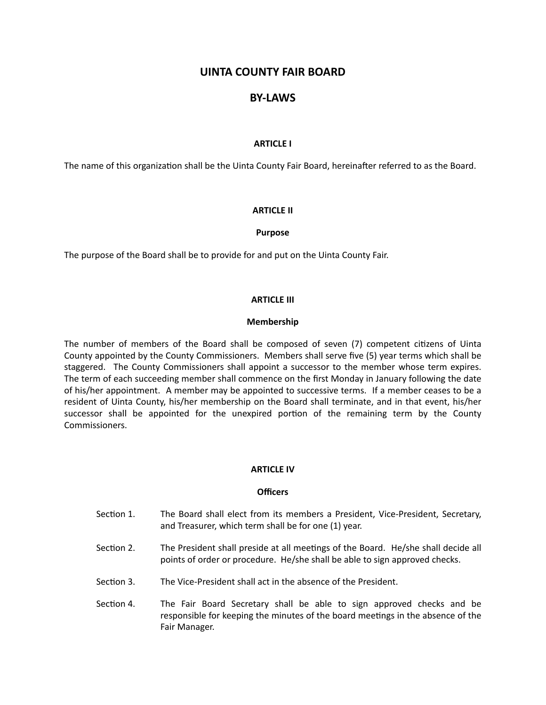# **UINTA COUNTY FAIR BOARD**

# **BY-LAWS**

# **ARTICLE I**

The name of this organization shall be the Uinta County Fair Board, hereinafter referred to as the Board.

# **ARTICLE II**

#### **Purpose**

The purpose of the Board shall be to provide for and put on the Uinta County Fair.

#### **ARTICLE III**

#### **Membership**

The number of members of the Board shall be composed of seven (7) competent citizens of Uinta County appointed by the County Commissioners. Members shall serve five (5) year terms which shall be staggered. The County Commissioners shall appoint a successor to the member whose term expires. The term of each succeeding member shall commence on the first Monday in January following the date of his/her appointment. A member may be appointed to successive terms. If a member ceases to be a resident of Uinta County, his/her membership on the Board shall terminate, and in that event, his/her successor shall be appointed for the unexpired portion of the remaining term by the County Commissioners.

# **ARTICLE IV**

### **Officers**

- Section 1. The Board shall elect from its members a President, Vice-President, Secretary, and Treasurer, which term shall be for one (1) year.
- Section 2. The President shall preside at all meetings of the Board. He/she shall decide all points of order or procedure. He/she shall be able to sign approved checks.
- Section 3. The Vice-President shall act in the absence of the President.
- Section 4. The Fair Board Secretary shall be able to sign approved checks and be responsible for keeping the minutes of the board meetings in the absence of the Fair Manager.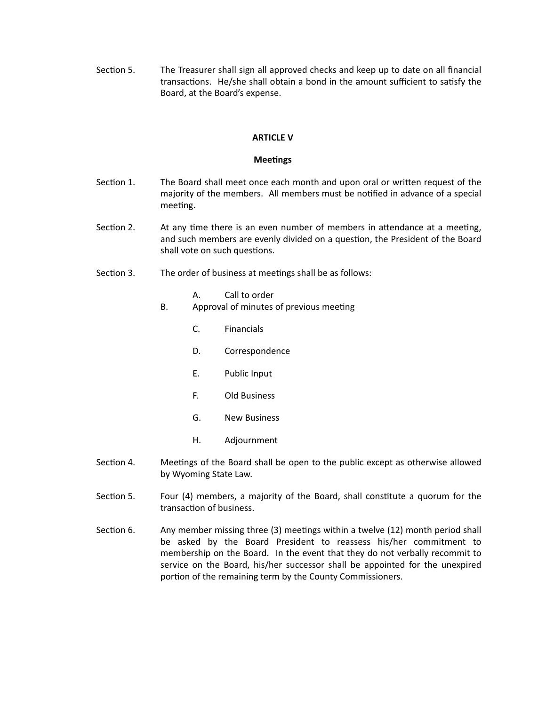Section 5. The Treasurer shall sign all approved checks and keep up to date on all financial transactions. He/she shall obtain a bond in the amount sufficient to satisfy the Board, at the Board's expense.

# **ARTICLE V**

# **Meetings**

- Section 1. The Board shall meet once each month and upon oral or written request of the majority of the members. All members must be notified in advance of a special meeting.
- Section 2. At any time there is an even number of members in attendance at a meeting, and such members are evenly divided on a question, the President of the Board shall vote on such questions.
- Section 3. The order of business at meetings shall be as follows:
	- A. Call to order
	- B. Approval of minutes of previous meeting
		- C. Financials
		- D. Correspondence
		- E. Public Input
		- F. Old Business
		- G. New Business
		- H. Adjournment
- Section 4. Meetings of the Board shall be open to the public except as otherwise allowed by Wyoming State Law.
- Section 5. Four (4) members, a majority of the Board, shall constitute a quorum for the transaction of business.
- Section 6. Any member missing three  $(3)$  meetings within a twelve  $(12)$  month period shall be asked by the Board President to reassess his/her commitment to membership on the Board. In the event that they do not verbally recommit to service on the Board, his/her successor shall be appointed for the unexpired portion of the remaining term by the County Commissioners.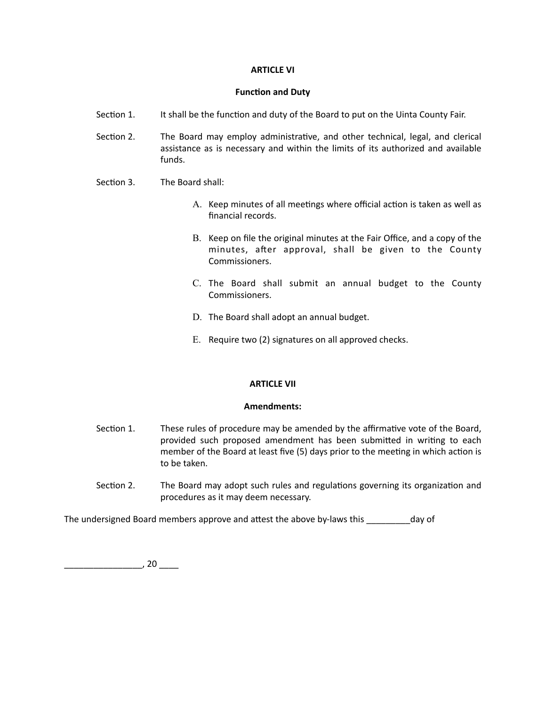# **ARTICLE VI**

### **Function and Duty**

- Section 1. It shall be the function and duty of the Board to put on the Uinta County Fair.
- Section 2. The Board may employ administrative, and other technical, legal, and clerical assistance as is necessary and within the limits of its authorized and available funds.
- Section 3. The Board shall:
	- A. Keep minutes of all meetings where official action is taken as well as financial records.
	- B. Keep on file the original minutes at the Fair Office, and a copy of the minutes, after approval, shall be given to the County Commissioners.
	- C. The Board shall submit an annual budget to the County Commissioners.
	- D. The Board shall adopt an annual budget.
	- E. Require two (2) signatures on all approved checks.

# **ARTICLE VII**

# **Amendments:**

- Section 1. These rules of procedure may be amended by the affirmative vote of the Board, provided such proposed amendment has been submitted in writing to each member of the Board at least five (5) days prior to the meeting in which action is to be taken.
- Section 2. The Board may adopt such rules and regulations governing its organization and procedures as it may deem necessary.

The undersigned Board members approve and attest the above by-laws this \_\_\_\_\_\_\_\_\_day of

 $\overline{\phantom{a}}$ , 20  $\overline{\phantom{a}}$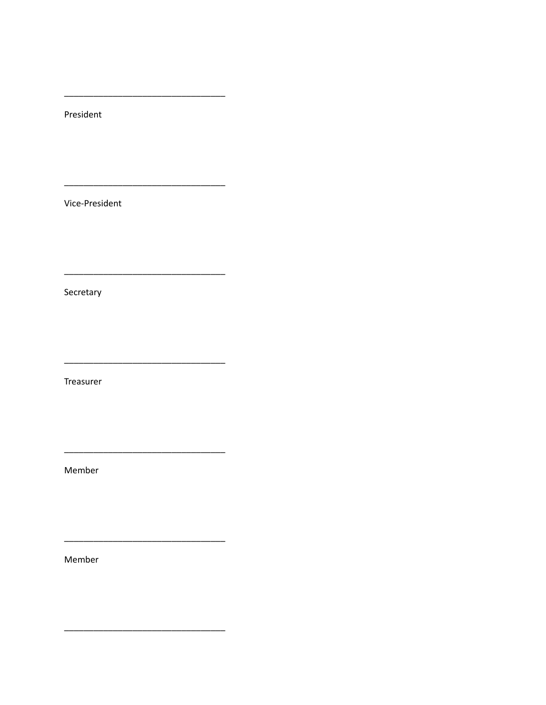President

Vice-President

Secretary

Treasurer

 $\overline{\phantom{0}}$ 

 $\overline{\phantom{a}}$ 

Member

 $\overline{\phantom{0}}$ 

Member